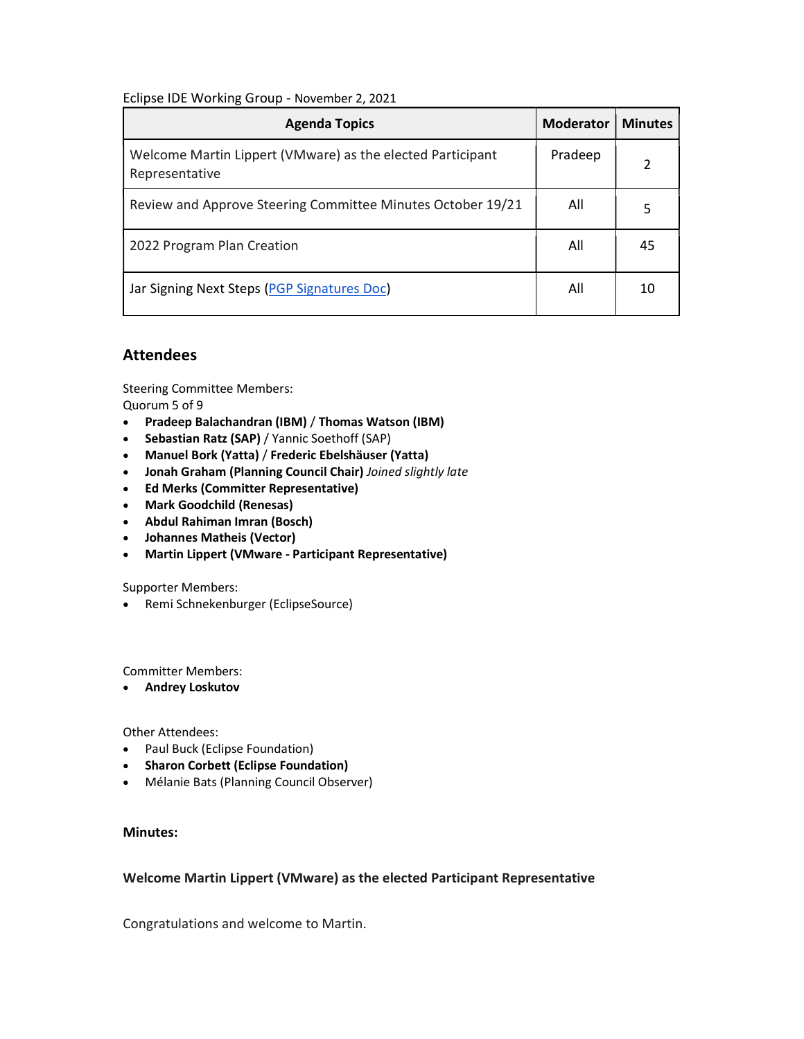## Eclipse IDE Working Group - November 2, 2021

| <b>Agenda Topics</b>                                                         | <b>Moderator</b> | <b>Minutes</b> |
|------------------------------------------------------------------------------|------------------|----------------|
| Welcome Martin Lippert (VMware) as the elected Participant<br>Representative | Pradeep          |                |
| Review and Approve Steering Committee Minutes October 19/21                  | All              | 5              |
| 2022 Program Plan Creation                                                   | All              | 45             |
| Jar Signing Next Steps (PGP Signatures Doc)                                  | All              | 10             |

# Attendees

Steering Committee Members: Quorum 5 of 9

- Pradeep Balachandran (IBM) / Thomas Watson (IBM)
- Sebastian Ratz (SAP) / Yannic Soethoff (SAP)
- Manuel Bork (Yatta) / Frederic Ebelshäuser (Yatta)
- Jonah Graham (Planning Council Chair) Joined slightly late
- Ed Merks (Committer Representative)
- Mark Goodchild (Renesas)
- Abdul Rahiman Imran (Bosch)
- Johannes Matheis (Vector)
- Martin Lippert (VMware Participant Representative)

Supporter Members:

Remi Schnekenburger (EclipseSource)

Committer Members:

Andrey Loskutov

Other Attendees:

- Paul Buck (Eclipse Foundation)
- **•** Sharon Corbett (Eclipse Foundation)
- Mélanie Bats (Planning Council Observer)

## Minutes:

## Welcome Martin Lippert (VMware) as the elected Participant Representative

Congratulations and welcome to Martin.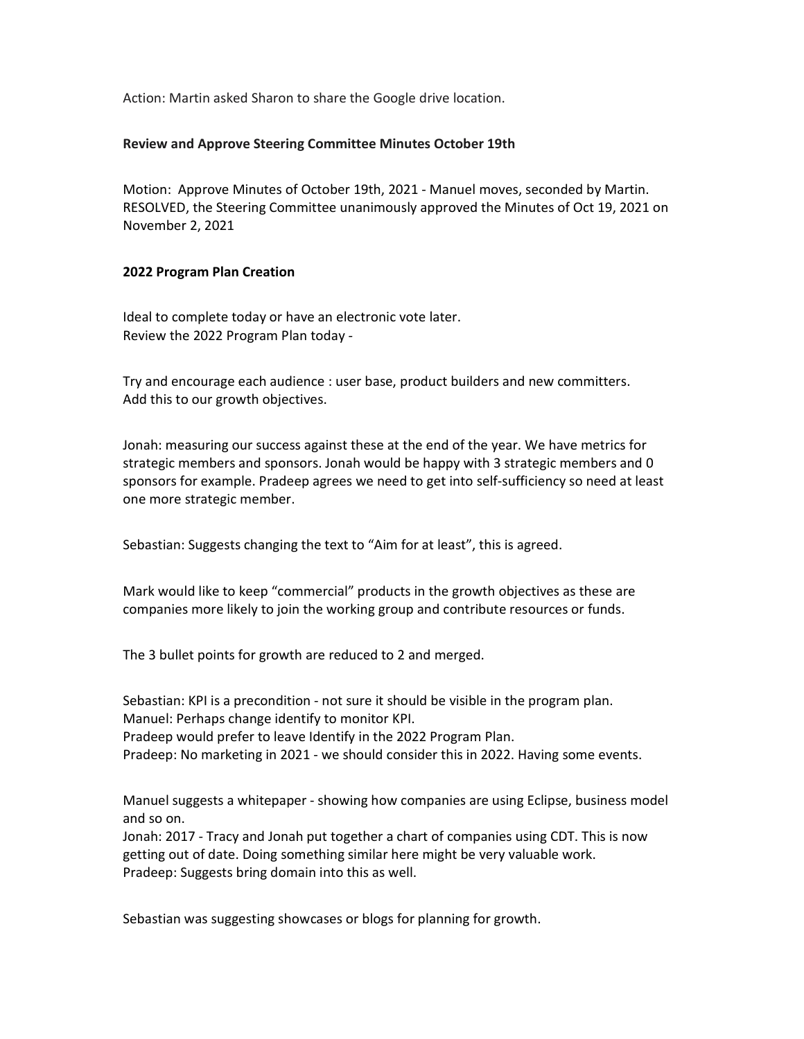Action: Martin asked Sharon to share the Google drive location.

#### Review and Approve Steering Committee Minutes October 19th

Motion: Approve Minutes of October 19th, 2021 - Manuel moves, seconded by Martin. RESOLVED, the Steering Committee unanimously approved the Minutes of Oct 19, 2021 on November 2, 2021

#### 2022 Program Plan Creation

Ideal to complete today or have an electronic vote later. Review the 2022 Program Plan today -

Try and encourage each audience : user base, product builders and new committers. Add this to our growth objectives.

Jonah: measuring our success against these at the end of the year. We have metrics for strategic members and sponsors. Jonah would be happy with 3 strategic members and 0 sponsors for example. Pradeep agrees we need to get into self-sufficiency so need at least one more strategic member.

Sebastian: Suggests changing the text to "Aim for at least", this is agreed.

Mark would like to keep "commercial" products in the growth objectives as these are companies more likely to join the working group and contribute resources or funds.

The 3 bullet points for growth are reduced to 2 and merged.

Sebastian: KPI is a precondition - not sure it should be visible in the program plan. Manuel: Perhaps change identify to monitor KPI. Pradeep would prefer to leave Identify in the 2022 Program Plan. Pradeep: No marketing in 2021 - we should consider this in 2022. Having some events.

Manuel suggests a whitepaper - showing how companies are using Eclipse, business model and so on.

Jonah: 2017 - Tracy and Jonah put together a chart of companies using CDT. This is now getting out of date. Doing something similar here might be very valuable work. Pradeep: Suggests bring domain into this as well.

Sebastian was suggesting showcases or blogs for planning for growth.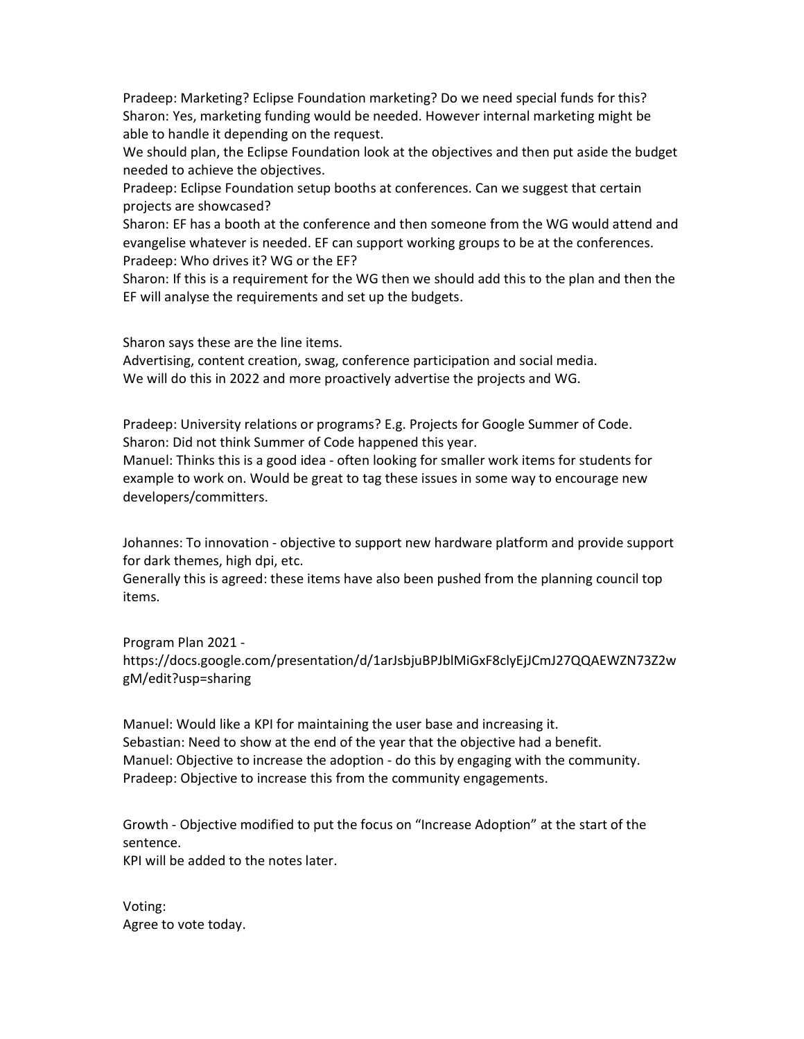Pradeep: Marketing? Eclipse Foundation marketing? Do we need special funds for this? Sharon: Yes, marketing funding would be needed. However internal marketing might be able to handle it depending on the request.

We should plan, the Eclipse Foundation look at the objectives and then put aside the budget needed to achieve the objectives.

Pradeep: Eclipse Foundation setup booths at conferences. Can we suggest that certain projects are showcased?

Sharon: EF has a booth at the conference and then someone from the WG would attend and evangelise whatever is needed. EF can support working groups to be at the conferences. Pradeep: Who drives it? WG or the EF?

Sharon: If this is a requirement for the WG then we should add this to the plan and then the EF will analyse the requirements and set up the budgets.

Sharon says these are the line items.

Advertising, content creation, swag, conference participation and social media. We will do this in 2022 and more proactively advertise the projects and WG.

Pradeep: University relations or programs? E.g. Projects for Google Summer of Code. Sharon: Did not think Summer of Code happened this year.

Manuel: Thinks this is a good idea - often looking for smaller work items for students for example to work on. Would be great to tag these issues in some way to encourage new developers/committers.

Johannes: To innovation - objective to support new hardware platform and provide support for dark themes, high dpi, etc.

Generally this is agreed: these items have also been pushed from the planning council top items.

Program Plan 2021 https://docs.google.com/presentation/d/1arJsbjuBPJblMiGxF8clyEjJCmJ27QQAEWZN73Z2w gM/edit?usp=sharing

Manuel: Would like a KPI for maintaining the user base and increasing it. Sebastian: Need to show at the end of the year that the objective had a benefit. Manuel: Objective to increase the adoption - do this by engaging with the community. Pradeep: Objective to increase this from the community engagements.

Growth - Objective modified to put the focus on "Increase Adoption" at the start of the sentence.

KPI will be added to the notes later.

Voting: Agree to vote today.